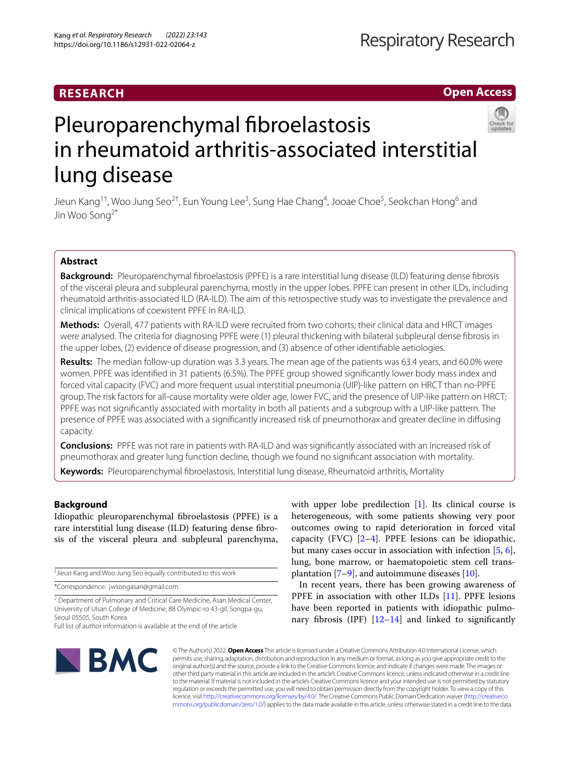# **RESEARCH**

**Open Access**

# Pleuroparenchymal fibroelastosis in rheumatoid arthritis-associated interstitial lung disease

Jieun Kang<sup>1†</sup>, Woo Jung Seo<sup>2†</sup>, Eun Young Lee<sup>3</sup>, Sung Hae Chang<sup>4</sup>, Jooae Choe<sup>5</sup>, Seokchan Hong<sup>6</sup> and Jin Woo Song2\*

# **Abstract**

**Background:** Pleuroparenchymal fbroelastosis (PPFE) is a rare interstitial lung disease (ILD) featuring dense fbrosis of the visceral pleura and subpleural parenchyma, mostly in the upper lobes. PPFE can present in other ILDs, including rheumatoid arthritis-associated ILD (RA-ILD). The aim of this retrospective study was to investigate the prevalence and clinical implications of coexistent PPFE in RA-ILD.

**Methods:** Overall, 477 patients with RA-ILD were recruited from two cohorts; their clinical data and HRCT images were analysed. The criteria for diagnosing PPFE were (1) pleural thickening with bilateral subpleural dense fbrosis in the upper lobes, (2) evidence of disease progression, and (3) absence of other identifable aetiologies.

**Results:** The median follow-up duration was 3.3 years. The mean age of the patients was 63.4 years, and 60.0% were women. PPFE was identifed in 31 patients (6.5%). The PPFE group showed signifcantly lower body mass index and forced vital capacity (FVC) and more frequent usual interstitial pneumonia (UIP)-like pattern on HRCT than no-PPFE group. The risk factors for all-cause mortality were older age, lower FVC, and the presence of UIP-like pattern on HRCT; PPFE was not signifcantly associated with mortality in both all patients and a subgroup with a UIP-like pattern. The presence of PPFE was associated with a signifcantly increased risk of pneumothorax and greater decline in difusing capacity.

**Conclusions:** PPFE was not rare in patients with RA-ILD and was signifcantly associated with an increased risk of pneumothorax and greater lung function decline, though we found no signifcant association with mortality.

**Keywords:** Pleuroparenchymal fbroelastosis, Interstitial lung disease, Rheumatoid arthritis, Mortality

# **Background**

Idiopathic pleuroparenchymal fbroelastosis (PPFE) is a rare interstitial lung disease (ILD) featuring dense fbrosis of the visceral pleura and subpleural parenchyma,

† Jieun Kang and Woo Jung Seo equally contributed to this work

\*Correspondence: jwsongasan@gmail.com

<sup>2</sup> Department of Pulmonary and Critical Care Medicine, Asan Medical Center, University of Ulsan College of Medicine, 88 Olympic-ro 43-gil, Songpa-gu, Seoul 05505, South Korea

Full list of author information is available at the end of the article

with upper lobe predilection [\[1](#page-8-0)]. Its clinical course is heterogeneous, with some patients showing very poor outcomes owing to rapid deterioration in forced vital capacity (FVC)  $[2-4]$  $[2-4]$  $[2-4]$ . PPFE lesions can be idiopathic, but many cases occur in association with infection [\[5](#page-8-3), [6](#page-8-4)], lung, bone marrow, or haematopoietic stem cell transplantation  $[7-9]$  $[7-9]$  $[7-9]$ , and autoimmune diseases  $[10]$  $[10]$ .

In recent years, there has been growing awareness of PPFE in association with other ILDs [\[11\]](#page-8-8). PPFE lesions have been reported in patients with idiopathic pulmonary fibrosis (IPF)  $[12-14]$  $[12-14]$  $[12-14]$  and linked to significantly



© The Author(s) 2022. **Open Access** This article is licensed under a Creative Commons Attribution 4.0 International License, which permits use, sharing, adaptation, distribution and reproduction in any medium or format, as long as you give appropriate credit to the original author(s) and the source, provide a link to the Creative Commons licence, and indicate if changes were made. The images or other third party material in this article are included in the article's Creative Commons licence, unless indicated otherwise in a credit line to the material. If material is not included in the article's Creative Commons licence and your intended use is not permitted by statutory regulation or exceeds the permitted use, you will need to obtain permission directly from the copyright holder. To view a copy of this licence, visit [http://creativecommons.org/licenses/by/4.0/.](http://creativecommons.org/licenses/by/4.0/) The Creative Commons Public Domain Dedication waiver ([http://creativeco](http://creativecommons.org/publicdomain/zero/1.0/) [mmons.org/publicdomain/zero/1.0/](http://creativecommons.org/publicdomain/zero/1.0/)) applies to the data made available in this article, unless otherwise stated in a credit line to the data.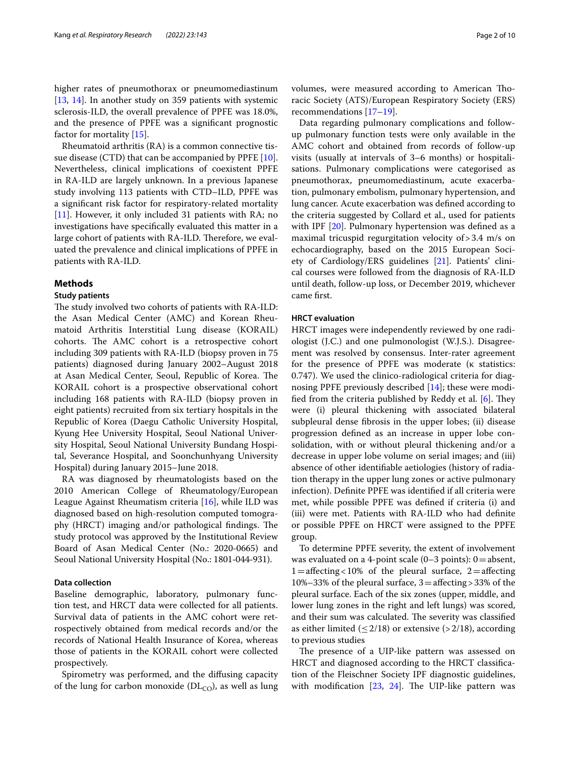higher rates of pneumothorax or pneumomediastinum [[13,](#page-8-11) [14](#page-8-10)]. In another study on 359 patients with systemic sclerosis-ILD, the overall prevalence of PPFE was 18.0%, and the presence of PPFE was a signifcant prognostic factor for mortality [[15](#page-8-12)].

Rheumatoid arthritis (RA) is a common connective tissue disease (CTD) that can be accompanied by PPFE [\[10](#page-8-7)]. Nevertheless, clinical implications of coexistent PPFE in RA-ILD are largely unknown. In a previous Japanese study involving 113 patients with CTD–ILD, PPFE was a signifcant risk factor for respiratory-related mortality [[11\]](#page-8-8). However, it only included 31 patients with RA; no investigations have specifcally evaluated this matter in a large cohort of patients with RA-ILD. Therefore, we evaluated the prevalence and clinical implications of PPFE in patients with RA-ILD.

## **Methods**

#### **Study patients**

The study involved two cohorts of patients with RA-ILD: the Asan Medical Center (AMC) and Korean Rheumatoid Arthritis Interstitial Lung disease (KORAIL) cohorts. The AMC cohort is a retrospective cohort including 309 patients with RA-ILD (biopsy proven in 75 patients) diagnosed during January 2002–August 2018 at Asan Medical Center, Seoul, Republic of Korea. The KORAIL cohort is a prospective observational cohort including 168 patients with RA-ILD (biopsy proven in eight patients) recruited from six tertiary hospitals in the Republic of Korea (Daegu Catholic University Hospital, Kyung Hee University Hospital, Seoul National University Hospital, Seoul National University Bundang Hospital, Severance Hospital, and Soonchunhyang University Hospital) during January 2015–June 2018.

RA was diagnosed by rheumatologists based on the 2010 American College of Rheumatology/European League Against Rheumatism criteria [\[16](#page-8-13)], while ILD was diagnosed based on high-resolution computed tomography (HRCT) imaging and/or pathological findings. The study protocol was approved by the Institutional Review Board of Asan Medical Center (No.: 2020-0665) and Seoul National University Hospital (No.: 1801‐044‐931).

#### **Data collection**

Baseline demographic, laboratory, pulmonary function test, and HRCT data were collected for all patients. Survival data of patients in the AMC cohort were retrospectively obtained from medical records and/or the records of National Health Insurance of Korea, whereas those of patients in the KORAIL cohort were collected prospectively.

Spirometry was performed, and the difusing capacity of the lung for carbon monoxide ( $DL<sub>CO</sub>$ ), as well as lung volumes, were measured according to American Toracic Society (ATS)/European Respiratory Society (ERS) recommendations [\[17](#page-8-14)[–19\]](#page-8-15).

Data regarding pulmonary complications and followup pulmonary function tests were only available in the AMC cohort and obtained from records of follow-up visits (usually at intervals of 3–6 months) or hospitalisations. Pulmonary complications were categorised as pneumothorax, pneumomediastinum, acute exacerbation, pulmonary embolism, pulmonary hypertension, and lung cancer. Acute exacerbation was defned according to the criteria suggested by Collard et al., used for patients with IPF [[20](#page-8-16)]. Pulmonary hypertension was defined as a maximal tricuspid regurgitation velocity of>3.4 m/s on echocardiography, based on the 2015 European Society of Cardiology/ERS guidelines [[21](#page-8-17)]. Patients' clinical courses were followed from the diagnosis of RA-ILD until death, follow-up loss, or December 2019, whichever came frst.

# **HRCT evaluation**

HRCT images were independently reviewed by one radiologist (J.C.) and one pulmonologist (W.J.S.). Disagreement was resolved by consensus. Inter-rater agreement for the presence of PPFE was moderate (κ statistics: 0.747). We used the clinico-radiological criteria for diagnosing PPFE previously described [\[14](#page-8-10)]; these were modified from the criteria published by Reddy et al.  $[6]$  $[6]$ . They were (i) pleural thickening with associated bilateral subpleural dense fbrosis in the upper lobes; (ii) disease progression defned as an increase in upper lobe consolidation, with or without pleural thickening and/or a decrease in upper lobe volume on serial images; and (iii) absence of other identifable aetiologies (history of radiation therapy in the upper lung zones or active pulmonary infection). Defnite PPFE was identifed if all criteria were met, while possible PPFE was defned if criteria (i) and (iii) were met. Patients with RA-ILD who had defnite or possible PPFE on HRCT were assigned to the PPFE group.

To determine PPFE severity, the extent of involvement was evaluated on a 4-point scale  $(0-3 \text{ points})$ :  $0 = \text{absent}$ ,  $1=$ affecting<10% of the pleural surface,  $2=$ affecting 10%–33% of the pleural surface,  $3=$  affecting > 33% of the pleural surface. Each of the six zones (upper, middle, and lower lung zones in the right and left lungs) was scored, and their sum was calculated. The severity was classified as either limited ( $\leq$  2/18) or extensive (> 2/18), according to previous studies

The presence of a UIP-like pattern was assessed on HRCT and diagnosed according to the HRCT classifcation of the Fleischner Society IPF diagnostic guidelines, with modification  $[23, 24]$  $[23, 24]$  $[23, 24]$ . The UIP-like pattern was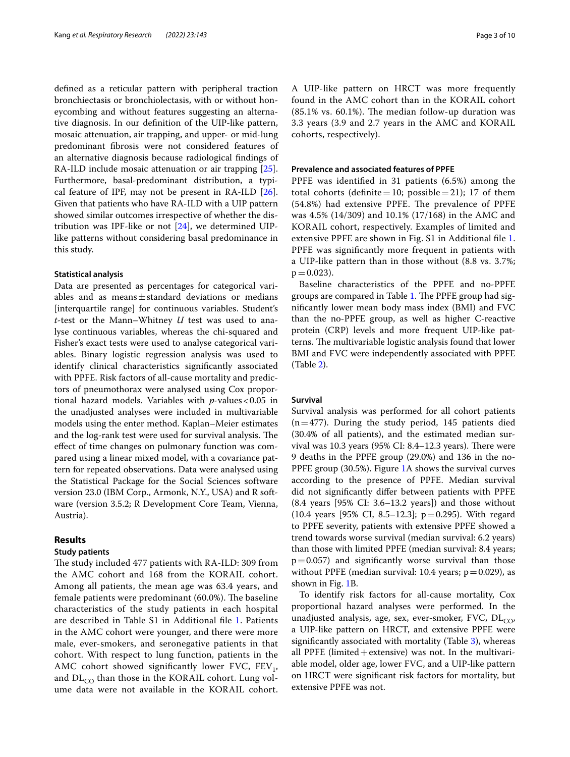defned as a reticular pattern with peripheral traction bronchiectasis or bronchiolectasis, with or without honeycombing and without features suggesting an alternative diagnosis. In our defnition of the UIP-like pattern, mosaic attenuation, air trapping, and upper- or mid-lung predominant fbrosis were not considered features of an alternative diagnosis because radiological fndings of RA-ILD include mosaic attenuation or air trapping [\[25](#page-8-20)]. Furthermore, basal-predominant distribution, a typical feature of IPF, may not be present in RA-ILD [\[26](#page-8-21)]. Given that patients who have RA-ILD with a UIP pattern showed similar outcomes irrespective of whether the distribution was IPF-like or not  $[24]$  $[24]$  $[24]$ , we determined UIPlike patterns without considering basal predominance in this study.

#### **Statistical analysis**

Data are presented as percentages for categorical variables and as means $\pm$ standard deviations or medians [interquartile range] for continuous variables. Student's *t*-test or the Mann–Whitney *U* test was used to analyse continuous variables, whereas the chi-squared and Fisher's exact tests were used to analyse categorical variables. Binary logistic regression analysis was used to identify clinical characteristics signifcantly associated with PPFE. Risk factors of all-cause mortality and predictors of pneumothorax were analysed using Cox proportional hazard models. Variables with *p*-values<0.05 in the unadjusted analyses were included in multivariable models using the enter method. Kaplan–Meier estimates and the log-rank test were used for survival analysis. The efect of time changes on pulmonary function was compared using a linear mixed model, with a covariance pattern for repeated observations. Data were analysed using the Statistical Package for the Social Sciences software version 23.0 (IBM Corp., Armonk, N.Y., USA) and R software (version 3.5.2; R Development Core Team, Vienna, Austria).

# **Results**

#### **Study patients**

The study included 477 patients with RA-ILD: 309 from the AMC cohort and 168 from the KORAIL cohort. Among all patients, the mean age was 63.4 years, and female patients were predominant (60.0%). The baseline characteristics of the study patients in each hospital are described in Table S1 in Additional fle [1.](#page-7-0) Patients in the AMC cohort were younger, and there were more male, ever-smokers, and seronegative patients in that cohort. With respect to lung function, patients in the AMC cohort showed significantly lower FVC,  $FEV_1$ , and  $DL<sub>CO</sub>$  than those in the KORAIL cohort. Lung volume data were not available in the KORAIL cohort. A UIP-like pattern on HRCT was more frequently found in the AMC cohort than in the KORAIL cohort  $(85.1\% \text{ vs. } 60.1\%).$  The median follow-up duration was 3.3 years (3.9 and 2.7 years in the AMC and KORAIL cohorts, respectively).

#### **Prevalence and associated features of PPFE**

PPFE was identifed in 31 patients (6.5%) among the total cohorts (definite=10; possible=21); 17 of them (54.8%) had extensive PPFE. The prevalence of PPFE was 4.5% (14/309) and 10.1% (17/168) in the AMC and KORAIL cohort, respectively. Examples of limited and extensive PPFE are shown in Fig. S1 in Additional file [1](#page-7-0). PPFE was signifcantly more frequent in patients with a UIP-like pattern than in those without (8.8 vs. 3.7%;  $p = 0.023$ .

Baseline characteristics of the PPFE and no-PPFE groups are compared in Table [1](#page-3-0). The PPFE group had signifcantly lower mean body mass index (BMI) and FVC than the no-PPFE group, as well as higher C-reactive protein (CRP) levels and more frequent UIP-like patterns. The multivariable logistic analysis found that lower BMI and FVC were independently associated with PPFE (Table [2\)](#page-4-0).

#### **Survival**

Survival analysis was performed for all cohort patients  $(n=477)$ . During the study period, 145 patients died (30.4% of all patients), and the estimated median survival was 10.3 years  $(95\% \text{ CI: } 8.4-12.3 \text{ years})$ . There were 9 deaths in the PPFE group (29.0%) and 136 in the no-PPFE group (30.5%). Figure [1](#page-4-1)A shows the survival curves according to the presence of PPFE. Median survival did not signifcantly difer between patients with PPFE  $(8.4 \text{ years}$  [95% CI: 3.6–13.2 years]) and those without (10.4 years [95% CI, 8.5–12.3];  $p=0.295$ ). With regard to PPFE severity, patients with extensive PPFE showed a trend towards worse survival (median survival: 6.2 years) than those with limited PPFE (median survival: 8.4 years;  $p=0.057$ ) and significantly worse survival than those without PPFE (median survival: 10.4 years;  $p=0.029$ ), as shown in Fig. [1](#page-4-1)B.

To identify risk factors for all-cause mortality, Cox proportional hazard analyses were performed. In the unadjusted analysis, age, sex, ever-smoker, FVC,  $DL_{CO}$ , a UIP-like pattern on HRCT, and extensive PPFE were signifcantly associated with mortality (Table [3\)](#page-5-0), whereas all PPFE (limited + extensive) was not. In the multivariable model, older age, lower FVC, and a UIP-like pattern on HRCT were signifcant risk factors for mortality, but extensive PPFE was not.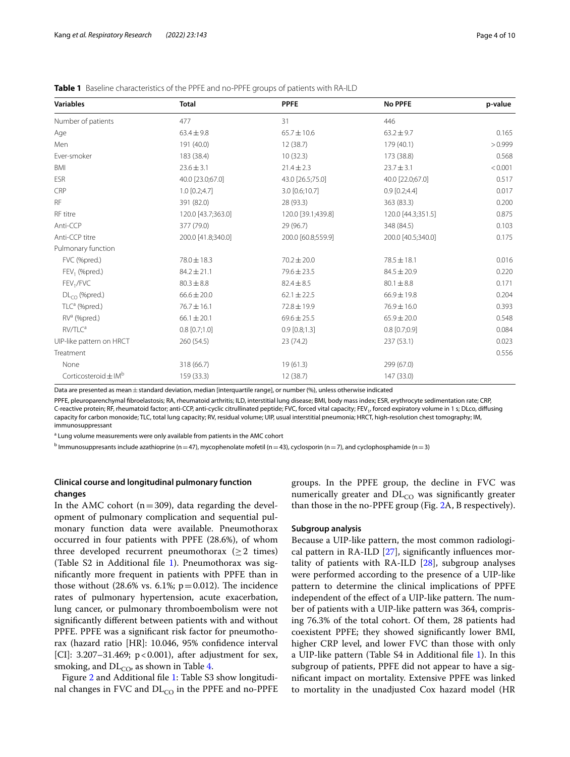| <b>Variables</b>                     | <b>Total</b>       | <b>PPFE</b>        | <b>No PPFE</b>     | p-value |  |
|--------------------------------------|--------------------|--------------------|--------------------|---------|--|
| Number of patients                   | 477                | 31                 | 446                |         |  |
| Age                                  | $63.4 \pm 9.8$     | $65.7 \pm 10.6$    | $63.2 \pm 9.7$     | 0.165   |  |
| Men                                  | 191 (40.0)         | 12(38.7)           | 179 (40.1)         | > 0.999 |  |
| Ever-smoker                          | 183 (38.4)         | 10(32.3)           | 173 (38.8)         | 0.568   |  |
| <b>BMI</b>                           | $23.6 \pm 3.1$     | $21.4 \pm 2.3$     | $23.7 \pm 3.1$     | < 0.001 |  |
| <b>ESR</b>                           | 40.0 [23.0;67.0]   | 43.0 [26.5;75.0]   | 40.0 [22.0;67.0]   | 0.517   |  |
| CRP                                  | $1.0$ [0.2;4.7]    | 3.0 [0.6;10.7]     | $0.9$ [0.2;4.4]    | 0.017   |  |
| <b>RF</b>                            | 391 (82.0)         | 28 (93.3)          | 363 (83.3)         | 0.200   |  |
| RF titre                             | 120.0 [43.7;363.0] | 120.0 [39.1;439.8] | 120.0 [44.3;351.5] | 0.875   |  |
| Anti-CCP                             | 377 (79.0)         | 29 (96.7)          | 348 (84.5)         | 0.103   |  |
| Anti-CCP titre                       | 200.0 [41.8;340.0] | 200.0 [60.8;559.9] | 200.0 [40.5;340.0] | 0.175   |  |
| Pulmonary function                   |                    |                    |                    |         |  |
| FVC (%pred.)                         | 78.0 ± 18.3        | $70.2 \pm 20.0$    | $78.5 \pm 18.1$    | 0.016   |  |
| FEV <sub>1</sub> (%pred.)            | $84.2 \pm 21.1$    | 79.6 ± 23.5        | $84.5 \pm 20.9$    | 0.220   |  |
| FEV <sub>1</sub> /FVC                | $80.3 \pm 8.8$     | $82.4 \pm 8.5$     | $80.1 \pm 8.8$     | 0.171   |  |
| $DL_{CO}$ (%pred.)                   | $66.6 \pm 20.0$    | $62.1 \pm 22.5$    | $66.9 \pm 19.8$    | 0.204   |  |
| TLC <sup>a</sup> (%pred.)            | $76.7 \pm 16.1$    | 72.8 ± 19.9        | $76.9 \pm 16.0$    | 0.393   |  |
| RV <sup>a</sup> (%pred.)             | $66.1 \pm 20.1$    | $69.6 \pm 25.5$    | $65.9 \pm 20.0$    | 0.548   |  |
| RV/TLC <sup>a</sup>                  | $0.8$ [0.7;1.0]    | $0.9$ [0.8;1.3]    | $0.8$ [0.7;0.9]    | 0.084   |  |
| UIP-like pattern on HRCT             | 260 (54.5)         | 23(74.2)           | 237 (53.1)         | 0.023   |  |
| Treatment                            |                    |                    |                    | 0.556   |  |
| None                                 | 318 (66.7)         | 19(61.3)           | 299 (67.0)         |         |  |
| Corticosteroid $\pm$ IM <sup>b</sup> | 159 (33.3)         | 12(38.7)           | 147 (33.0)         |         |  |

<span id="page-3-0"></span>**Table 1** Baseline characteristics of the PPFE and no-PPFE groups of patients with RA-ILD

Data are presented as mean  $\pm$  standard deviation, median [interquartile range], or number (%), unless otherwise indicated

PPFE, pleuroparenchymal fbroelastosis; RA, rheumatoid arthritis; ILD, interstitial lung disease; BMI, body mass index; ESR, erythrocyte sedimentation rate; CRP, C-reactive protein; RF, rheumatoid factor; anti-CCP, anti-cyclic citrullinated peptide; FVC, forced vital capacity; FEV<sub>1</sub>, forced expiratory volume in 1 s; DLco, diffusing capacity for carbon monoxide; TLC, total lung capacity; RV, residual volume; UIP, usual interstitial pneumonia; HRCT, high-resolution chest tomography; IM, immunosuppressant

<sup>a</sup> Lung volume measurements were only available from patients in the AMC cohort

<sup>b</sup> Immunosuppresants include azathioprine (n = 47), mycophenolate mofetil (n = 43), cyclosporin (n = 7), and cyclophosphamide (n = 3)

# **Clinical course and longitudinal pulmonary function changes**

In the AMC cohort ( $n=309$ ), data regarding the development of pulmonary complication and sequential pulmonary function data were available. Pneumothorax occurred in four patients with PPFE (28.6%), of whom three developed recurrent pneumothorax ( $\geq 2$  times) (Table  $S2$  in Additional file [1\)](#page-7-0). Pneumothorax was signifcantly more frequent in patients with PPFE than in those without  $(28.6\% \text{ vs. } 6.1\%; \text{ p} = 0.012)$ . The incidence rates of pulmonary hypertension, acute exacerbation, lung cancer, or pulmonary thromboembolism were not signifcantly diferent between patients with and without PPFE. PPFE was a signifcant risk factor for pneumothorax (hazard ratio [HR]: 10.046, 95% confdence interval [CI]:  $3.207 - 31.469$ ;  $p < 0.001$ ), after adjustment for sex, smoking, and  $DL_{CO}$ , as shown in Table [4.](#page-5-1)

Figure [2](#page-6-0) and Additional fle [1](#page-7-0): Table S3 show longitudinal changes in FVC and  $DL_{CO}$  in the PPFE and no-PPFE groups. In the PPFE group, the decline in FVC was numerically greater and  $DL<sub>CO</sub>$  was significantly greater than those in the no-PPFE group (Fig. [2A](#page-6-0), B respectively).

#### **Subgroup analysis**

Because a UIP-like pattern, the most common radiological pattern in RA-ILD  $[27]$  $[27]$ , significantly influences mortality of patients with RA-ILD [\[28](#page-8-23)], subgroup analyses were performed according to the presence of a UIP-like pattern to determine the clinical implications of PPFE independent of the effect of a UIP-like pattern. The number of patients with a UIP-like pattern was 364, comprising 76.3% of the total cohort. Of them, 28 patients had coexistent PPFE; they showed signifcantly lower BMI, higher CRP level, and lower FVC than those with only a UIP-like pattern (Table S4 in Additional fle [1\)](#page-7-0). In this subgroup of patients, PPFE did not appear to have a signifcant impact on mortality. Extensive PPFE was linked to mortality in the unadjusted Cox hazard model (HR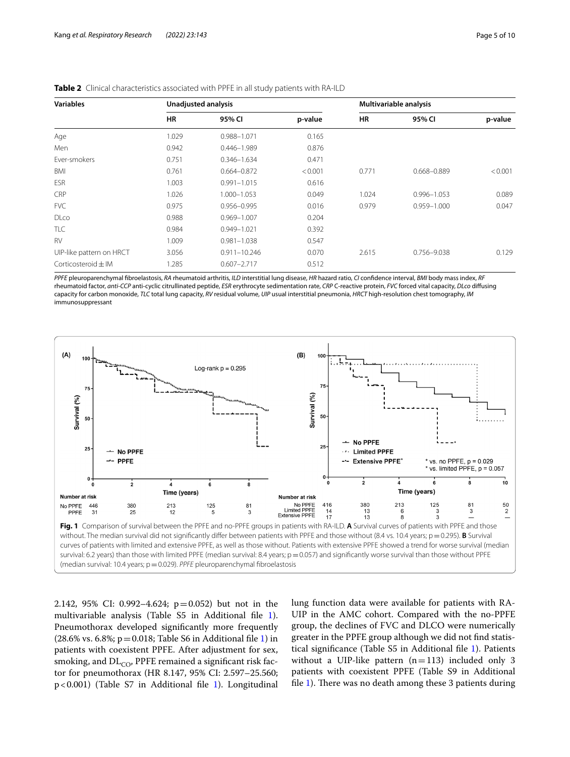| <b>Variables</b>         | Unadjusted analysis |                  |         | Multivariable analysis |                 |         |  |
|--------------------------|---------------------|------------------|---------|------------------------|-----------------|---------|--|
|                          | <b>HR</b>           | 95% CI           | p-value | <b>HR</b>              | 95% CI          | p-value |  |
| Age                      | 1.029               | 0.988-1.071      | 0.165   |                        |                 |         |  |
| Men                      | 0.942               | $0.446 - 1.989$  | 0.876   |                        |                 |         |  |
| Ever-smokers             | 0.751               | $0.346 - 1.634$  | 0.471   |                        |                 |         |  |
| BMI                      | 0.761               | $0.664 - 0.872$  | < 0.001 | 0.771                  | $0.668 - 0.889$ | < 0.001 |  |
| ESR                      | 1.003               | $0.991 - 1.015$  | 0.616   |                        |                 |         |  |
| <b>CRP</b>               | 1.026               | 1.000-1.053      | 0.049   | 1.024                  | $0.996 - 1.053$ | 0.089   |  |
| <b>FVC</b>               | 0.975               | 0.956-0.995      | 0.016   | 0.979                  | $0.959 - 1.000$ | 0.047   |  |
| <b>DLco</b>              | 0.988               | $0.969 - 1.007$  | 0.204   |                        |                 |         |  |
| TLC                      | 0.984               | $0.949 - 1.021$  | 0.392   |                        |                 |         |  |
| <b>RV</b>                | 1.009               | $0.981 - 1.038$  | 0.547   |                        |                 |         |  |
| UIP-like pattern on HRCT | 3.056               | $0.911 - 10.246$ | 0.070   | 2.615                  | 0.756-9.038     | 0.129   |  |
| Corticosteroid $\pm$ IM  | 1.285               | $0.607 - 2.717$  | 0.512   |                        |                 |         |  |

<span id="page-4-0"></span>

|  |  | Table 2 Clinical characteristics associated with PPFE in all study patients with RA-ILD |  |  |  |  |  |  |
|--|--|-----------------------------------------------------------------------------------------|--|--|--|--|--|--|
|--|--|-----------------------------------------------------------------------------------------|--|--|--|--|--|--|

*PPFE* pleuroparenchymal fbroelastosis, *RA* rheumatoid arthritis, *ILD* interstitial lung disease, *HR* hazard ratio, *CI* confdence interval, *BMI* body mass index, *RF* rheumatoid factor, *anti-CCP* anti-cyclic citrullinated peptide, *ESR* erythrocyte sedimentation rate, *CRP* C-reactive protein, *FVC* forced vital capacity, *DLco* difusing capacity for carbon monoxide, *TLC* total lung capacity, *RV* residual volume, *UIP* usual interstitial pneumonia, *HRCT* high-resolution chest tomography, *IM* immunosuppressant



<span id="page-4-1"></span>2.142, 95% CI: 0.992–4.624; p=0.052) but not in the multivariable analysis (Table S5 in Additional fle [1](#page-7-0)). Pneumothorax developed signifcantly more frequently  $(28.6\% \text{ vs. } 6.8\%; \text{ p} = 0.018; \text{ Table S6 in Additional file 1})$  in patients with coexistent PPFE. After adjustment for sex, smoking, and  $DL_{CO}$ , PPFE remained a significant risk factor for pneumothorax (HR 8.147, 95% CI: 2.597–25.560; p<0.001) (Table S7 in Additional fle [1\)](#page-7-0). Longitudinal

lung function data were available for patients with RA-UIP in the AMC cohort. Compared with the no-PPFE group, the declines of FVC and DLCO were numerically greater in the PPFE group although we did not fnd statistical signifcance (Table S5 in Additional fle [1](#page-7-0)). Patients without a UIP-like pattern  $(n=113)$  included only 3 patients with coexistent PPFE (Table S9 in Additional file  $1$ ). There was no death among these 3 patients during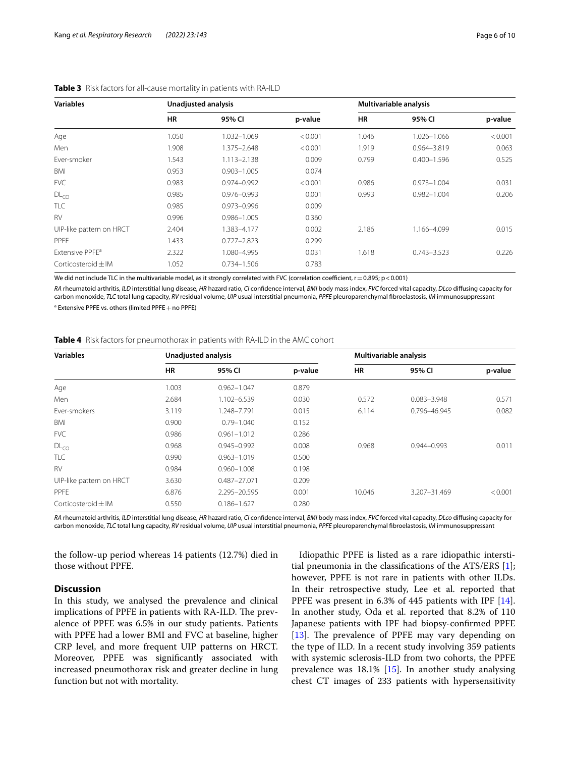| <b>Variables</b>            | Unadjusted analysis |                 |         | Multivariable analysis |                 |         |  |
|-----------------------------|---------------------|-----------------|---------|------------------------|-----------------|---------|--|
|                             | <b>HR</b>           | 95% CI          | p-value | HR                     | 95% CI          | p-value |  |
| Age                         | 1.050               | 1.032-1.069     | < 0.001 | 1.046                  | 1.026-1.066     | < 0.001 |  |
| Men                         | 1.908               | 1.375-2.648     | < 0.001 | 1.919                  | 0.964-3.819     | 0.063   |  |
| Ever-smoker                 | 1.543               | $1.113 - 2.138$ | 0.009   | 0.799                  | $0.400 - 1.596$ | 0.525   |  |
| BMI                         | 0.953               | $0.903 - 1.005$ | 0.074   |                        |                 |         |  |
| <b>FVC</b>                  | 0.983               | 0.974-0.992     | < 0.001 | 0.986                  | $0.973 - 1.004$ | 0.031   |  |
| DL <sub>CO</sub>            | 0.985               | $0.976 - 0.993$ | 0.001   | 0.993                  | $0.982 - 1.004$ | 0.206   |  |
| TLC                         | 0.985               | 0.973-0.996     | 0.009   |                        |                 |         |  |
| <b>RV</b>                   | 0.996               | $0.986 - 1.005$ | 0.360   |                        |                 |         |  |
| UIP-like pattern on HRCT    | 2.404               | 1.383-4.177     | 0.002   | 2.186                  | 1.166-4.099     | 0.015   |  |
| <b>PPFE</b>                 | 1.433               | $0.727 - 2.823$ | 0.299   |                        |                 |         |  |
| Extensive PPFE <sup>a</sup> | 2.322               | 1.080-4.995     | 0.031   | 1.618                  | $0.743 - 3.523$ | 0.226   |  |
| Corticosteroid $\pm$ IM     | 1.052               | 0.734-1.506     | 0.783   |                        |                 |         |  |

#### <span id="page-5-0"></span>**Table 3** Risk factors for all-cause mortality in patients with RA-ILD

We did not include TLC in the multivariable model, as it strongly correlated with FVC (correlation coefficient,  $r=0.895$ ;  $p<0.001$ )

*RA* rheumatoid arthritis, *ILD* interstitial lung disease, *HR* hazard ratio, *CI* confdence interval, *BMI* body mass index, *FVC* forced vital capacity, *DLco* difusing capacity for carbon monoxide, *TLC* total lung capacity, *RV* residual volume, *UIP* usual interstitial pneumonia, *PPFE* pleuroparenchymal fbroelastosis, *IM* immunosuppressant

 $^{\text{a}}$  Extensive PPFE vs. others (limited PPFE+no PPFE)

<span id="page-5-1"></span>**Table 4** Risk factors for pneumothorax in patients with RA-ILD in the AMC cohort

| <b>Variables</b>                    |           | Unadjusted analysis |         |           | Multivariable analysis |         |  |  |
|-------------------------------------|-----------|---------------------|---------|-----------|------------------------|---------|--|--|
|                                     | <b>HR</b> | 95% CI              | p-value | <b>HR</b> | 95% CI                 | p-value |  |  |
| Age                                 | 1.003     | $0.962 - 1.047$     | 0.879   |           |                        |         |  |  |
| Men                                 | 2.684     | 1.102-6.539         | 0.030   | 0.572     | $0.083 - 3.948$        | 0.571   |  |  |
| Fver-smokers                        | 3.119     | 1.248-7.791         | 0.015   | 6.114     | 0.796-46.945           | 0.082   |  |  |
| BMI                                 | 0.900     | $0.79 - 1.040$      | 0.152   |           |                        |         |  |  |
| <b>FVC</b>                          | 0.986     | $0.961 - 1.012$     | 0.286   |           |                        |         |  |  |
| DL <sub>CO</sub>                    | 0.968     | $0.945 - 0.992$     | 0.008   | 0.968     | 0.944-0.993            | 0.011   |  |  |
| TLC                                 | 0.990     | $0.963 - 1.019$     | 0.500   |           |                        |         |  |  |
| <b>RV</b>                           | 0.984     | $0.960 - 1.008$     | 0.198   |           |                        |         |  |  |
| UIP-like pattern on HRCT            | 3.630     | 0.487-27.071        | 0.209   |           |                        |         |  |  |
| <b>PPFF</b>                         | 6.876     | 2.295-20.595        | 0.001   | 10.046    | 3.207-31.469           | < 0.001 |  |  |
| $\text{Corticosteroid} + \text{IM}$ | 0.550     | $0.186 - 1.627$     | 0.280   |           |                        |         |  |  |

*RA* rheumatoid arthritis, *ILD* interstitial lung disease, *HR* hazard ratio, *CI* confdence interval, *BMI* body mass index, *FVC* forced vital capacity, *DLco* difusing capacity for carbon monoxide, *TLC* total lung capacity, *RV* residual volume, *UIP* usual interstitial pneumonia, *PPFE* pleuroparenchymal fbroelastosis, *IM* immunosuppressant

the follow-up period whereas 14 patients (12.7%) died in those without PPFE.

# **Discussion**

In this study, we analysed the prevalence and clinical implications of PPFE in patients with RA-ILD. The prevalence of PPFE was 6.5% in our study patients. Patients with PPFE had a lower BMI and FVC at baseline, higher CRP level, and more frequent UIP patterns on HRCT. Moreover, PPFE was signifcantly associated with increased pneumothorax risk and greater decline in lung function but not with mortality.

Idiopathic PPFE is listed as a rare idiopathic interstitial pneumonia in the classifcations of the ATS/ERS [\[1](#page-8-0)]; however, PPFE is not rare in patients with other ILDs. In their retrospective study, Lee et al. reported that PPFE was present in 6.3% of 445 patients with IPF [\[14](#page-8-10)]. In another study, Oda et al. reported that 8.2% of 110 Japanese patients with IPF had biopsy-confrmed PPFE [ $13$ ]. The prevalence of PPFE may vary depending on the type of ILD. In a recent study involving 359 patients with systemic sclerosis-ILD from two cohorts, the PPFE prevalence was 18.1% [[15](#page-8-12)]. In another study analysing chest CT images of 233 patients with hypersensitivity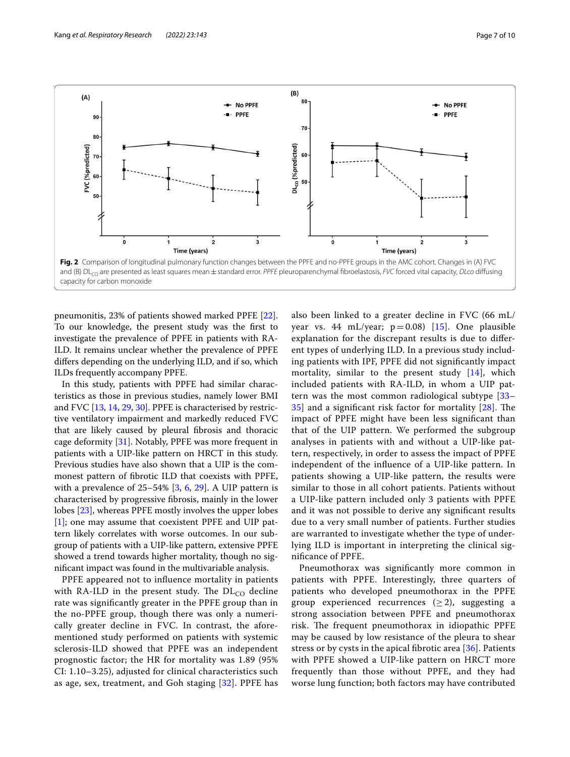

<span id="page-6-0"></span>pneumonitis, 23% of patients showed marked PPFE [\[22](#page-8-24)]. To our knowledge, the present study was the frst to investigate the prevalence of PPFE in patients with RA-ILD. It remains unclear whether the prevalence of PPFE difers depending on the underlying ILD, and if so, which ILDs frequently accompany PPFE.

In this study, patients with PPFE had similar characteristics as those in previous studies, namely lower BMI and FVC [[13,](#page-8-11) [14,](#page-8-10) [29](#page-8-25), [30](#page-8-26)]. PPFE is characterised by restrictive ventilatory impairment and markedly reduced FVC that are likely caused by pleural fbrosis and thoracic cage deformity [\[31](#page-8-27)]. Notably, PPFE was more frequent in patients with a UIP-like pattern on HRCT in this study. Previous studies have also shown that a UIP is the commonest pattern of fbrotic ILD that coexists with PPFE, with a prevalence of 25–54% [[3,](#page-8-28) [6,](#page-8-4) [29](#page-8-25)]. A UIP pattern is characterised by progressive fbrosis, mainly in the lower lobes [[23](#page-8-18)], whereas PPFE mostly involves the upper lobes [[1\]](#page-8-0); one may assume that coexistent PPFE and UIP pattern likely correlates with worse outcomes. In our subgroup of patients with a UIP-like pattern, extensive PPFE showed a trend towards higher mortality, though no signifcant impact was found in the multivariable analysis.

PPFE appeared not to infuence mortality in patients with RA-ILD in the present study. The  $DL<sub>CO</sub>$  decline rate was signifcantly greater in the PPFE group than in the no-PPFE group, though there was only a numerically greater decline in FVC. In contrast, the aforementioned study performed on patients with systemic sclerosis-ILD showed that PPFE was an independent prognostic factor; the HR for mortality was 1.89 (95% CI: 1.10–3.25), adjusted for clinical characteristics such as age, sex, treatment, and Goh staging [[32\]](#page-8-29). PPFE has also been linked to a greater decline in FVC (66 mL/ year vs. 44 mL/year;  $p=0.08$ ) [\[15\]](#page-8-12). One plausible explanation for the discrepant results is due to diferent types of underlying ILD. In a previous study including patients with IPF, PPFE did not signifcantly impact mortality, similar to the present study [\[14](#page-8-10)], which included patients with RA-ILD, in whom a UIP pattern was the most common radiological subtype [[33–](#page-8-30)  $35$ ] and a significant risk factor for mortality  $[28]$  $[28]$  $[28]$ . The impact of PPFE might have been less signifcant than that of the UIP pattern. We performed the subgroup analyses in patients with and without a UIP-like pattern, respectively, in order to assess the impact of PPFE independent of the infuence of a UIP-like pattern. In patients showing a UIP-like pattern, the results were similar to those in all cohort patients. Patients without a UIP-like pattern included only 3 patients with PPFE and it was not possible to derive any signifcant results due to a very small number of patients. Further studies are warranted to investigate whether the type of underlying ILD is important in interpreting the clinical signifcance of PPFE.

Pneumothorax was signifcantly more common in patients with PPFE. Interestingly, three quarters of patients who developed pneumothorax in the PPFE group experienced recurrences  $(\geq 2)$ , suggesting a strong association between PPFE and pneumothorax risk. The frequent pneumothorax in idiopathic PPFE may be caused by low resistance of the pleura to shear stress or by cysts in the apical fbrotic area [[36\]](#page-9-1). Patients with PPFE showed a UIP-like pattern on HRCT more frequently than those without PPFE, and they had worse lung function; both factors may have contributed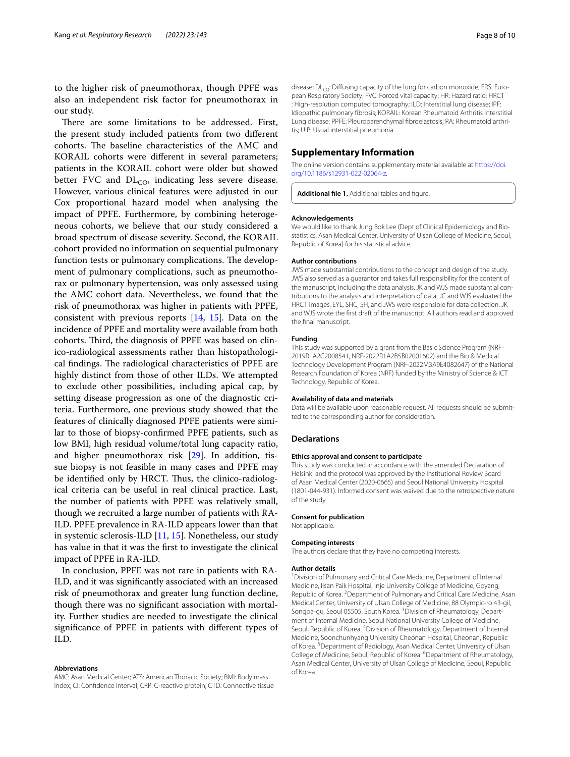to the higher risk of pneumothorax, though PPFE was also an independent risk factor for pneumothorax in our study.

There are some limitations to be addressed. First, the present study included patients from two diferent cohorts. The baseline characteristics of the AMC and KORAIL cohorts were diferent in several parameters; patients in the KORAIL cohort were older but showed better FVC and  $DL<sub>CO</sub>$ , indicating less severe disease. However, various clinical features were adjusted in our Cox proportional hazard model when analysing the impact of PPFE. Furthermore, by combining heterogeneous cohorts, we believe that our study considered a broad spectrum of disease severity. Second, the KORAIL cohort provided no information on sequential pulmonary function tests or pulmonary complications. The development of pulmonary complications, such as pneumothorax or pulmonary hypertension, was only assessed using the AMC cohort data. Nevertheless, we found that the risk of pneumothorax was higher in patients with PPFE, consistent with previous reports [\[14](#page-8-10), [15\]](#page-8-12). Data on the incidence of PPFE and mortality were available from both cohorts. Third, the diagnosis of PPFE was based on clinico-radiological assessments rather than histopathological findings. The radiological characteristics of PPFE are highly distinct from those of other ILDs. We attempted to exclude other possibilities, including apical cap, by setting disease progression as one of the diagnostic criteria. Furthermore, one previous study showed that the features of clinically diagnosed PPFE patients were similar to those of biopsy-confrmed PPFE patients, such as low BMI, high residual volume/total lung capacity ratio, and higher pneumothorax risk [[29\]](#page-8-25). In addition, tissue biopsy is not feasible in many cases and PPFE may be identified only by HRCT. Thus, the clinico-radiological criteria can be useful in real clinical practice. Last, the number of patients with PPFE was relatively small, though we recruited a large number of patients with RA-ILD. PPFE prevalence in RA-ILD appears lower than that in systemic sclerosis-ILD [[11](#page-8-8), [15\]](#page-8-12). Nonetheless, our study has value in that it was the frst to investigate the clinical impact of PPFE in RA-ILD.

In conclusion, PPFE was not rare in patients with RA-ILD, and it was signifcantly associated with an increased risk of pneumothorax and greater lung function decline, though there was no signifcant association with mortality. Further studies are needed to investigate the clinical signifcance of PPFE in patients with diferent types of ILD.

#### **Abbreviations**

AMC: Asan Medical Center; ATS: American Thoracic Society; BMI: Body mass index; CI: Confdence interval; CRP: C-reactive protein; CTD: Connective tissue disease;  $DL<sub>CO</sub>$ : Diffusing capacity of the lung for carbon monoxide; ERS: European Respiratory Society; FVC: Forced vital capacity; HR: Hazard ratio; HRCT : High-resolution computed tomography; ILD: Interstitial lung disease; IPF: Idiopathic pulmonary fbrosis; KORAIL: Korean Rheumatoid Arthritis Interstitial Lung disease; PPFE: Pleuroparenchymal fbroelastosis; RA: Rheumatoid arthritis; UIP: Usual interstitial pneumonia.

#### **Supplementary Information**

The online version contains supplementary material available at [https://doi.](https://doi.org/10.1186/s12931-022-02064-z) [org/10.1186/s12931-022-02064-z.](https://doi.org/10.1186/s12931-022-02064-z)

<span id="page-7-0"></span>Additional file 1. Additional tables and figure.

#### **Acknowledgements**

We would like to thank Jung Bok Lee (Dept of Clinical Epidemiology and Biostatistics, Asan Medical Center, University of Ulsan College of Medicine, Seoul, Republic of Korea) for his statistical advice.

#### **Author contributions**

JWS made substantial contributions to the concept and design of the study. JWS also served as a guarantor and takes full responsibility for the content of the manuscript, including the data analysis. JK and WJS made substantial contributions to the analysis and interpretation of data. JC and WJS evaluated the HRCT images. EYL, SHC, SH, and JWS were responsible for data collection. JK and WJS wrote the frst draft of the manuscript. All authors read and approved the fnal manuscript.

#### **Funding**

This study was supported by a grant from the Basic Science Program (NRF-2019R1A2C2008541, NRF-2022R1A2B5B02001602) and the Bio & Medical Technology Development Program (NRF-2022M3A9E4082647) of the National Research Foundation of Korea (NRF) funded by the Ministry of Science & ICT Technology, Republic of Korea.

#### **Availability of data and materials**

Data will be available upon reasonable request. All requests should be submitted to the corresponding author for consideration.

#### **Declarations**

#### **Ethics approval and consent to participate**

This study was conducted in accordance with the amended Declaration of Helsinki and the protocol was approved by the Institutional Review Board of Asan Medical Center (2020-0665) and Seoul National University Hospital (1801‐044‐931). Informed consent was waived due to the retrospective nature of the study.

#### **Consent for publication**

Not applicable.

#### **Competing interests**

The authors declare that they have no competing interests.

#### **Author details**

<sup>1</sup> Division of Pulmonary and Critical Care Medicine, Department of Internal Medicine, Ilsan Paik Hospital, Inje University College of Medicine, Goyang, Republic of Korea. <sup>2</sup> Department of Pulmonary and Critical Care Medicine, Asan Medical Center, University of Ulsan College of Medicine, 88 Olympic-ro 43-gil, Songpa-gu, Seoul 05505, South Korea. <sup>3</sup> Division of Rheumatology, Department of Internal Medicine, Seoul National University College of Medicine, Seoul, Republic of Korea. <sup>4</sup> Division of Rheumatology, Department of Internal Medicine, Soonchunhyang University Cheonan Hospital, Cheonan, Republic of Korea.<sup>5</sup> Department of Radiology, Asan Medical Center, University of Ulsan College of Medicine, Seoul, Republic of Korea. <sup>6</sup>Department of Rheumatology, Asan Medical Center, University of Ulsan College of Medicine, Seoul, Republic of Korea.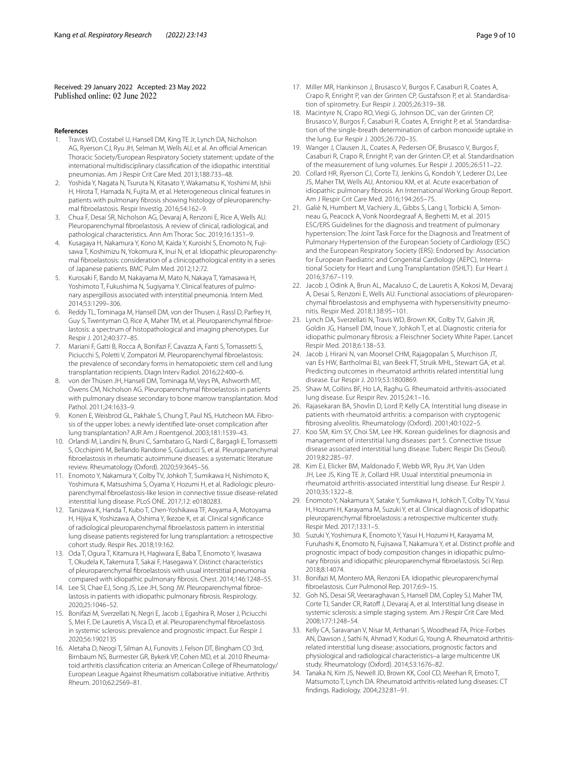Received: 29 January 2022 Accepted: 23 May 2022

#### **References**

- <span id="page-8-0"></span>Travis WD, Costabel U, Hansell DM, King TE Jr, Lynch DA, Nicholson AG, Ryerson CJ, Ryu JH, Selman M, Wells AU, et al. An official American Thoracic Society/European Respiratory Society statement: update of the international multidisciplinary classifcation of the idiopathic interstitial pneumonias. Am J Respir Crit Care Med. 2013;188:733–48.
- <span id="page-8-1"></span>2. Yoshida Y, Nagata N, Tsuruta N, Kitasato Y, Wakamatsu K, Yoshimi M, Ishii H, Hirota T, Hamada N, Fujita M, et al. Heterogeneous clinical features in patients with pulmonary fbrosis showing histology of pleuroparenchymal fbroelastosis. Respir Investig. 2016;54:162–9.
- <span id="page-8-28"></span>3. Chua F, Desai SR, Nicholson AG, Devaraj A, Renzoni E, Rice A, Wells AU. Pleuroparenchymal fbroelastosis. A review of clinical, radiological, and pathological characteristics. Ann Am Thorac Soc. 2019;16:1351–9.
- <span id="page-8-2"></span>4. Kusagaya H, Nakamura Y, Kono M, Kaida Y, Kuroishi S, Enomoto N, Fujisawa T, Koshimizu N, Yokomura K, Inui N, et al. Idiopathic pleuroparenchymal fbroelastosis: consideration of a clinicopathological entity in a series of Japanese patients. BMC Pulm Med. 2012;12:72.
- <span id="page-8-3"></span>5. Kurosaki F, Bando M, Nakayama M, Mato N, Nakaya T, Yamasawa H, Yoshimoto T, Fukushima N, Sugiyama Y. Clinical features of pulmonary aspergillosis associated with interstitial pneumonia. Intern Med. 2014;53:1299–306.
- <span id="page-8-4"></span>6. Reddy TL, Tominaga M, Hansell DM, von der Thusen J, Rassl D, Parfrey H, Guy S, Twentyman O, Rice A, Maher TM, et al. Pleuroparenchymal fbroelastosis: a spectrum of histopathological and imaging phenotypes. Eur Respir J. 2012;40:377–85.
- <span id="page-8-5"></span>7. Mariani F, Gatti B, Rocca A, Bonifazi F, Cavazza A, Fanti S, Tomassetti S, Piciucchi S, Poletti V, Zompatori M. Pleuroparenchymal fibroelastosis: the prevalence of secondary forms in hematopoietic stem cell and lung transplantation recipients. Diagn Interv Radiol. 2016;22:400–6.
- von der Thüsen JH, Hansell DM, Tominaga M, Veys PA, Ashworth MT, Owens CM, Nicholson AG. Pleuroparenchymal fbroelastosis in patients with pulmonary disease secondary to bone marrow transplantation. Mod Pathol. 2011;24:1633–9.
- <span id="page-8-6"></span>9. Konen E, Weisbrod GL, Pakhale S, Chung T, Paul NS, Hutcheon MA. Fibrosis of the upper lobes: a newly identifed late-onset complication after lung transplantation? AJR Am J Roentgenol. 2003;181:1539–43.
- <span id="page-8-7"></span>10. Orlandi M, Landini N, Bruni C, Sambataro G, Nardi C, Bargagli E, Tomassetti S, Occhipinti M, Bellando Randone S, Guiducci S, et al. Pleuroparenchymal fbroelastosis in rheumatic autoimmune diseases: a systematic literature review. Rheumatology (Oxford). 2020;59:3645–56.
- <span id="page-8-8"></span>11. Enomoto Y, Nakamura Y, Colby TV, Johkoh T, Sumikawa H, Nishimoto K, Yoshimura K, Matsushima S, Oyama Y, Hozumi H, et al. Radiologic pleuroparenchymal fbroelastosis-like lesion in connective tissue disease-related interstitial lung disease. PLoS ONE. 2017;12: e0180283.
- <span id="page-8-9"></span>12. Tanizawa K, Handa T, Kubo T, Chen-Yoshikawa TF, Aoyama A, Motoyama H, Hijiya K, Yoshizawa A, Oshima Y, Ikezoe K, et al. Clinical signifcance of radiological pleuroparenchymal fbroelastosis pattern in interstitial lung disease patients registered for lung transplantation: a retrospective cohort study. Respir Res. 2018;19:162.
- <span id="page-8-11"></span>13. Oda T, Ogura T, Kitamura H, Hagiwara E, Baba T, Enomoto Y, Iwasawa T, Okudela K, Takemura T, Sakai F, Hasegawa Y. Distinct characteristics of pleuroparenchymal fbroelastosis with usual interstitial pneumonia compared with idiopathic pulmonary fbrosis. Chest. 2014;146:1248–55.
- <span id="page-8-10"></span>14. Lee SI, Chae EJ, Song JS, Lee JH, Song JW. Pleuroparenchymal fibroelastosis in patients with idiopathic pulmonary fbrosis. Respirology. 2020;25:1046–52.
- <span id="page-8-12"></span>15. Bonifazi M, Sverzellati N, Negri E, Jacob J, Egashira R, Moser J, Piciucchi S, Mei F, De Lauretis A, Visca D, et al. Pleuroparenchymal fbroelastosis in systemic sclerosis: prevalence and prognostic impact. Eur Respir J. 2020;56:1902135
- <span id="page-8-13"></span>16. Aletaha D, Neogi T, Silman AJ, Funovits J, Felson DT, Bingham CO 3rd, Birnbaum NS, Burmester GR, Bykerk VP, Cohen MD, et al. 2010 Rheumatoid arthritis classifcation criteria: an American College of Rheumatology/ European League Against Rheumatism collaborative initiative. Arthritis Rheum. 2010;62:2569–81.
- <span id="page-8-14"></span>17. Miller MR, Hankinson J, Brusasco V, Burgos F, Casaburi R, Coates A, Crapo R, Enright P, van der Grinten CP, Gustafsson P, et al. Standardisation of spirometry. Eur Respir J. 2005;26:319–38.
- 18. Macintyre N, Crapo RO, Viegi G, Johnson DC, van der Grinten CP, Brusasco V, Burgos F, Casaburi R, Coates A, Enright P, et al. Standardisation of the single-breath determination of carbon monoxide uptake in the lung. Eur Respir J. 2005;26:720–35.
- <span id="page-8-15"></span>19. Wanger J, Clausen JL, Coates A, Pedersen OF, Brusasco V, Burgos F, Casaburi R, Crapo R, Enright P, van der Grinten CP, et al. Standardisation of the measurement of lung volumes. Eur Respir J. 2005;26:511–22.
- <span id="page-8-16"></span>20. Collard HR, Ryerson CJ, Corte TJ, Jenkins G, Kondoh Y, Lederer DJ, Lee JS, Maher TM, Wells AU, Antoniou KM, et al. Acute exacerbation of idiopathic pulmonary fbrosis. An International Working Group Report. Am J Respir Crit Care Med. 2016;194:265–75.
- <span id="page-8-17"></span>21. Galiè N, Humbert M, Vachiery JL, Gibbs S, Lang I, Torbicki A, Simonneau G, Peacock A, Vonk Noordegraaf A, Beghetti M, et al. 2015 ESC/ERS Guidelines for the diagnosis and treatment of pulmonary hypertension: The Joint Task Force for the Diagnosis and Treatment of Pulmonary Hypertension of the European Society of Cardiology (ESC) and the European Respiratory Society (ERS): Endorsed by: Association for European Paediatric and Congenital Cardiology (AEPC), International Society for Heart and Lung Transplantation (ISHLT). Eur Heart J. 2016;37:67–119.
- <span id="page-8-24"></span>22. Jacob J, Odink A, Brun AL, Macaluso C, de Lauretis A, Kokosi M, Devaraj A, Desai S, Renzoni E, Wells AU. Functional associations of pleuroparenchymal fbroelastosis and emphysema with hypersensitivity pneumonitis. Respir Med. 2018;138:95–101.
- <span id="page-8-18"></span>23. Lynch DA, Sverzellati N, Travis WD, Brown KK, Colby TV, Galvin JR, Goldin JG, Hansell DM, Inoue Y, Johkoh T, et al. Diagnostic criteria for idiopathic pulmonary fbrosis: a Fleischner Society White Paper. Lancet Respir Med. 2018;6:138–53.
- <span id="page-8-19"></span>24. Jacob J, Hirani N, van Moorsel CHM, Rajagopalan S, Murchison JT, van Es HW, Bartholmai BJ, van Beek FT, Struik MHL, Stewart GA, et al. Predicting outcomes in rheumatoid arthritis related interstitial lung disease. Eur Respir J. 2019;53:1800869.
- <span id="page-8-20"></span>25. Shaw M, Collins BF, Ho LA, Raghu G. Rheumatoid arthritis-associated lung disease. Eur Respir Rev. 2015;24:1–16.
- <span id="page-8-21"></span>26. Rajasekaran BA, Shovlin D, Lord P, Kelly CA. Interstitial lung disease in patients with rheumatoid arthritis: a comparison with cryptogenic fbrosing alveolitis. Rheumatology (Oxford). 2001;40:1022–5.
- <span id="page-8-22"></span>27. Koo SM, Kim SY, Choi SM, Lee HK. Korean guidelines for diagnosis and management of interstitial lung diseases: part 5. Connective tissue disease associated interstitial lung disease. Tuberc Respir Dis (Seoul). 2019;82:285–97.
- <span id="page-8-23"></span>28. Kim EJ, Elicker BM, Maldonado F, Webb WR, Ryu JH, Van Uden JH, Lee JS, King TE Jr, Collard HR. Usual interstitial pneumonia in rheumatoid arthritis-associated interstitial lung disease. Eur Respir J. 2010;35:1322–8.
- <span id="page-8-25"></span>29. Enomoto Y, Nakamura Y, Satake Y, Sumikawa H, Johkoh T, Colby TV, Yasui H, Hozumi H, Karayama M, Suzuki Y, et al. Clinical diagnosis of idiopathic pleuroparenchymal fbroelastosis: a retrospective multicenter study. Respir Med. 2017;133:1–5.
- <span id="page-8-26"></span>30. Suzuki Y, Yoshimura K, Enomoto Y, Yasui H, Hozumi H, Karayama M, Furuhashi K, Enomoto N, Fujisawa T, Nakamura Y, et al. Distinct profle and prognostic impact of body composition changes in idiopathic pulmonary fbrosis and idiopathic pleuroparenchymal fbroelastosis. Sci Rep. 2018;8:14074.
- <span id="page-8-27"></span>31. Bonifazi M, Montero MA, Renzoni EA. Idiopathic pleuroparenchymal fbroelastosis. Curr Pulmonol Rep. 2017;6:9–15.
- <span id="page-8-29"></span>32. Goh NS, Desai SR, Veeraraghavan S, Hansell DM, Copley SJ, Maher TM, Corte TJ, Sander CR, Ratoff J, Devaraj A, et al. Interstitial lung disease in systemic sclerosis: a simple staging system. Am J Respir Crit Care Med. 2008;177:1248–54.
- <span id="page-8-30"></span>33. Kelly CA, Saravanan V, Nisar M, Arthanari S, Woodhead FA, Price-Forbes AN, Dawson J, Sathi N, Ahmad Y, Koduri G, Young A. Rheumatoid arthritisrelated interstitial lung disease: associations, prognostic factors and physiological and radiological characteristics–a large multicentre UK study. Rheumatology (Oxford). 2014;53:1676–82.
- 34. Tanaka N, Kim JS, Newell JD, Brown KK, Cool CD, Meehan R, Emoto T, Matsumoto T, Lynch DA. Rheumatoid arthritis-related lung diseases: CT fndings. Radiology. 2004;232:81–91.